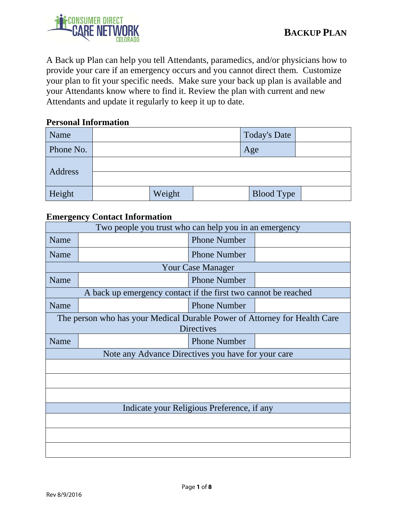

A Back up Plan can help you tell Attendants, paramedics, and/or physicians how to provide your care if an emergency occurs and you cannot direct them. Customize your plan to fit your specific needs. Make sure your back up plan is available and your Attendants know where to find it. Review the plan with current and new Attendants and update it regularly to keep it up to date.

#### **Personal Information**

| Name      |        | <b>Today's Date</b> |  |
|-----------|--------|---------------------|--|
| Phone No. |        | Age                 |  |
|           |        |                     |  |
| Address   |        |                     |  |
| Height    | Weight | <b>Blood Type</b>   |  |

#### **Emergency Contact Information**

| Two people you trust who can help you in an emergency                                          |                                                                |                     |  |  |  |
|------------------------------------------------------------------------------------------------|----------------------------------------------------------------|---------------------|--|--|--|
| Name                                                                                           |                                                                | <b>Phone Number</b> |  |  |  |
| Name                                                                                           |                                                                | <b>Phone Number</b> |  |  |  |
|                                                                                                | <b>Your Case Manager</b>                                       |                     |  |  |  |
| Name                                                                                           |                                                                | <b>Phone Number</b> |  |  |  |
|                                                                                                | A back up emergency contact if the first two cannot be reached |                     |  |  |  |
| Name                                                                                           |                                                                | <b>Phone Number</b> |  |  |  |
| The person who has your Medical Durable Power of Attorney for Health Care<br><b>Directives</b> |                                                                |                     |  |  |  |
| Name                                                                                           |                                                                | <b>Phone Number</b> |  |  |  |
| Note any Advance Directives you have for your care                                             |                                                                |                     |  |  |  |
|                                                                                                |                                                                |                     |  |  |  |
|                                                                                                |                                                                |                     |  |  |  |
|                                                                                                |                                                                |                     |  |  |  |
| Indicate your Religious Preference, if any                                                     |                                                                |                     |  |  |  |
|                                                                                                |                                                                |                     |  |  |  |
|                                                                                                |                                                                |                     |  |  |  |
|                                                                                                |                                                                |                     |  |  |  |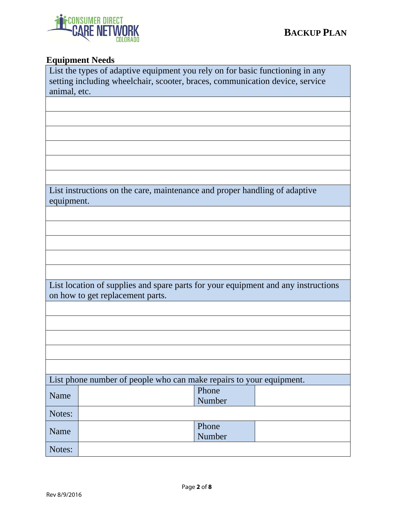

# **Equipment Needs**

|                                                                                              | List the types of adaptive equipment you rely on for basic functioning in any                                         |  |  |  |  |
|----------------------------------------------------------------------------------------------|-----------------------------------------------------------------------------------------------------------------------|--|--|--|--|
| setting including wheelchair, scooter, braces, communication device, service<br>animal, etc. |                                                                                                                       |  |  |  |  |
|                                                                                              |                                                                                                                       |  |  |  |  |
|                                                                                              |                                                                                                                       |  |  |  |  |
|                                                                                              |                                                                                                                       |  |  |  |  |
|                                                                                              |                                                                                                                       |  |  |  |  |
|                                                                                              |                                                                                                                       |  |  |  |  |
|                                                                                              |                                                                                                                       |  |  |  |  |
|                                                                                              | List instructions on the care, maintenance and proper handling of adaptive                                            |  |  |  |  |
| equipment.                                                                                   |                                                                                                                       |  |  |  |  |
|                                                                                              |                                                                                                                       |  |  |  |  |
|                                                                                              |                                                                                                                       |  |  |  |  |
|                                                                                              |                                                                                                                       |  |  |  |  |
|                                                                                              |                                                                                                                       |  |  |  |  |
|                                                                                              |                                                                                                                       |  |  |  |  |
|                                                                                              | List location of supplies and spare parts for your equipment and any instructions<br>on how to get replacement parts. |  |  |  |  |
|                                                                                              |                                                                                                                       |  |  |  |  |
|                                                                                              |                                                                                                                       |  |  |  |  |
|                                                                                              |                                                                                                                       |  |  |  |  |
|                                                                                              |                                                                                                                       |  |  |  |  |
|                                                                                              |                                                                                                                       |  |  |  |  |
|                                                                                              | List phone number of people who can make repairs to your equipment.<br>Phone                                          |  |  |  |  |
| Name                                                                                         | Number                                                                                                                |  |  |  |  |
| Notes:                                                                                       |                                                                                                                       |  |  |  |  |
| Name                                                                                         | Phone<br>Number                                                                                                       |  |  |  |  |
| Notes:                                                                                       |                                                                                                                       |  |  |  |  |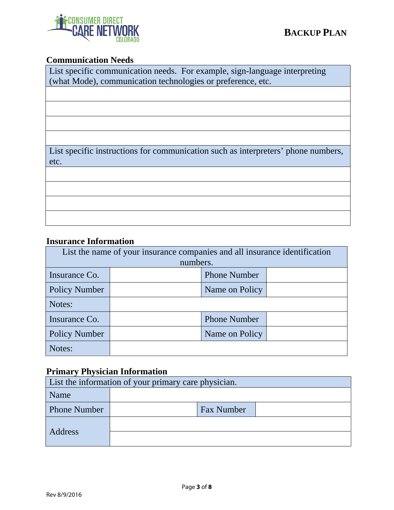# **ONSUMER DIRECT**

# **Communication Needs**

| List specific communication needs. For example, sign-language interpreting |
|----------------------------------------------------------------------------|
| (what Mode), communication technologies or preference, etc.                |

List specific instructions for communication such as interpreters' phone numbers, etc.

### **Insurance Information**

| List the name of your insurance companies and all insurance identification |          |                     |  |  |  |
|----------------------------------------------------------------------------|----------|---------------------|--|--|--|
|                                                                            | numbers. |                     |  |  |  |
| Insurance Co.                                                              |          | <b>Phone Number</b> |  |  |  |
| <b>Policy Number</b>                                                       |          | Name on Policy      |  |  |  |
| Notes:                                                                     |          |                     |  |  |  |
| Insurance Co.                                                              |          | <b>Phone Number</b> |  |  |  |
| <b>Policy Number</b>                                                       |          | Name on Policy      |  |  |  |
| Notes:                                                                     |          |                     |  |  |  |

# **Primary Physician Information**

| List the information of your primary care physician. |  |                   |  |  |
|------------------------------------------------------|--|-------------------|--|--|
| Name                                                 |  |                   |  |  |
| <b>Phone Number</b>                                  |  | <b>Fax Number</b> |  |  |
| Address                                              |  |                   |  |  |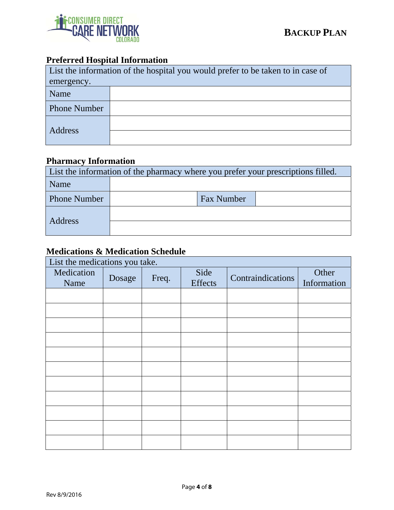

# **Preferred Hospital Information**

| List the information of the hospital you would prefer to be taken to in case of |  |  |  |
|---------------------------------------------------------------------------------|--|--|--|
| emergency.                                                                      |  |  |  |
| Name                                                                            |  |  |  |
| <b>Phone Number</b>                                                             |  |  |  |
| Address                                                                         |  |  |  |

# **Pharmacy Information**

| List the information of the pharmacy where you prefer your prescriptions filled. |  |                   |  |  |
|----------------------------------------------------------------------------------|--|-------------------|--|--|
| Name                                                                             |  |                   |  |  |
| <b>Phone Number</b>                                                              |  | <b>Fax Number</b> |  |  |
|                                                                                  |  |                   |  |  |
| Address                                                                          |  |                   |  |  |

# **Medications & Medication Schedule**

List the medications you take.

| Medication<br>Name | $\overline{\phantom{a}}$<br>Dosage | Freq. | Side<br>Effects | Contraindications | Other<br>Information |
|--------------------|------------------------------------|-------|-----------------|-------------------|----------------------|
|                    |                                    |       |                 |                   |                      |
|                    |                                    |       |                 |                   |                      |
|                    |                                    |       |                 |                   |                      |
|                    |                                    |       |                 |                   |                      |
|                    |                                    |       |                 |                   |                      |
|                    |                                    |       |                 |                   |                      |
|                    |                                    |       |                 |                   |                      |
|                    |                                    |       |                 |                   |                      |
|                    |                                    |       |                 |                   |                      |
|                    |                                    |       |                 |                   |                      |
|                    |                                    |       |                 |                   |                      |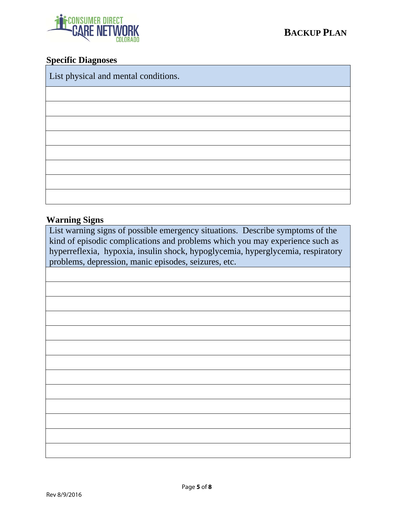

#### **Specific Diagnoses**

List physical and mental conditions.

#### **Warning Signs**

List warning signs of possible emergency situations. Describe symptoms of the kind of episodic complications and problems which you may experience such as hyperreflexia, hypoxia, insulin shock, hypoglycemia, hyperglycemia, respiratory problems, depression, manic episodes, seizures, etc.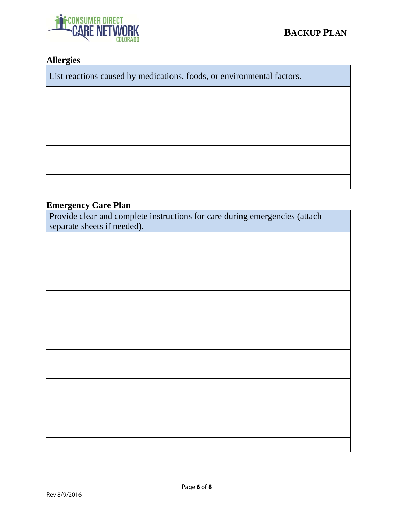

# **Allergies**

List reactions caused by medications, foods, or environmental factors.

#### **Emergency Care Plan**

Provide clear and complete instructions for care during emergencies (attach separate sheets if needed).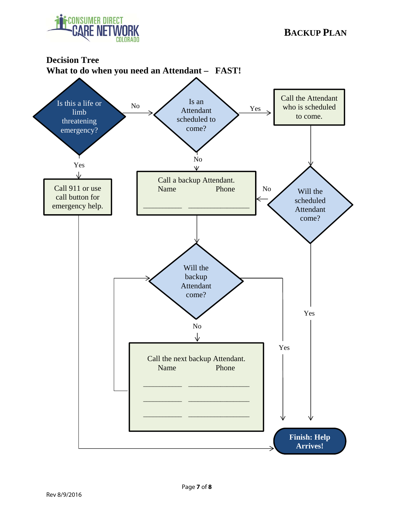

# **Decision Tree What to do when you need an Attendant – FAST!**